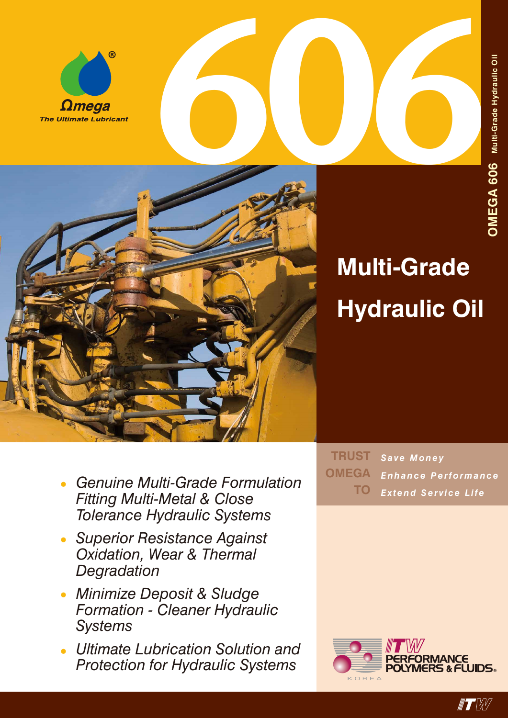



## **Multi-Grade Hydraulic Oil**

- *• Genuine Multi-Grade Formulation Fitting Multi-Metal & Close Tolerance Hydraulic Systems*
- *• Superior Resistance Against Oxidation, Wear & Thermal Degradation*
- *• Minimize Deposit & Sludge Formation - Cleaner Hydraulic Systems*
- *• Ultimate Lubrication Solution and Protection for Hydraulic Systems*

*Save Money Enhance Performance Extend Service Life* **TRUST OMEGA TO**

![](_page_0_Picture_9.jpeg)

![](_page_0_Picture_10.jpeg)